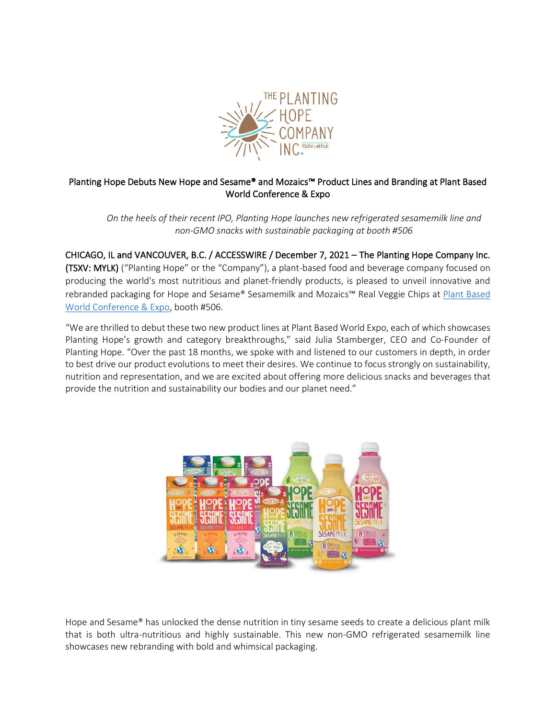

# Planting Hope Debuts New Hope and Sesame® and Mozaics™ Product Lines and Branding at Plant Based World Conference & Expo

*On the heels of their recent IPO, Planting Hope launches new refrigerated sesamemilk line and non-GMO snacks with sustainable packaging at booth #506*

CHICAGO, IL and VANCOUVER, B.C. / ACCESSWIRE / December 7, 2021 – The Planting Hope Company Inc. (TSXV: MYLK) ("Planting Hope" or the "Company"), a plant-based food and beverage company focused on producing the world's most nutritious and planet-friendly products, is pleased to unveil innovative and rebranded packaging for Hope and Sesame® Sesamemilk and Mozaics™ Real Veggie Chips at Plant Based [World Conference & Expo,](https://www.plantbasedworldexpo.com/) booth #506.

"We are thrilled to debut these two new product lines at Plant Based World Expo, each of which showcases Planting Hope's growth and category breakthroughs," said Julia Stamberger, CEO and Co-Founder of Planting Hope. "Over the past 18 months, we spoke with and listened to our customers in depth, in order to best drive our product evolutions to meet their desires. We continue to focus strongly on sustainability, nutrition and representation, and we are excited about offering more delicious snacks and beverages that provide the nutrition and sustainability our bodies and our planet need."



Hope and Sesame® has unlocked the dense nutrition in tiny sesame seeds to create a delicious plant milk that is both ultra-nutritious and highly sustainable. This new non-GMO refrigerated sesamemilk line showcases new rebranding with bold and whimsical packaging.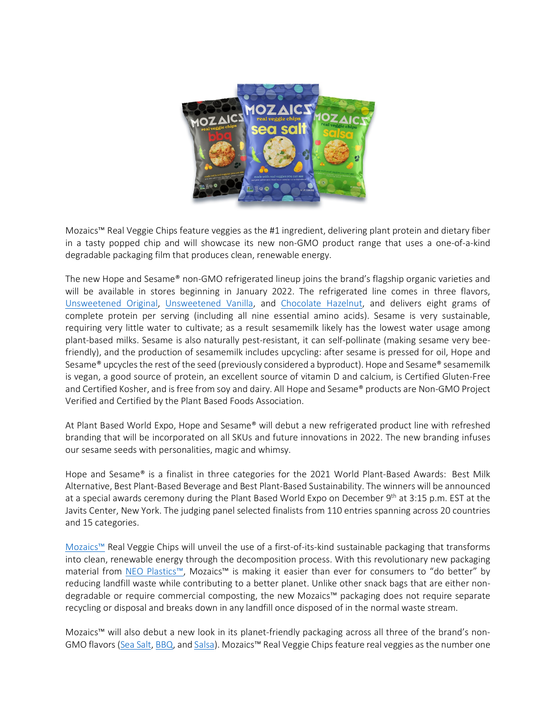

Mozaics™ Real Veggie Chips feature veggies as the #1 ingredient, delivering plant protein and dietary fiber in a tasty popped chip and will showcase its new non-GMO product range that uses a one-of-a-kind degradable packaging film that produces clean, renewable energy.

The new Hope and Sesame® non-GMO refrigerated lineup joins the brand's flagship organic varieties and will be available in stores beginning in January 2022. The refrigerated line comes in three flavors, [Unsweetened Original,](https://hopeandsesame.com/products/hope-sesame-non-gmo-unsweetened-original-chilled-sesamemilk-48oz) [Unsweetened Vanilla,](https://hopeandsesame.com/products/hope-sesame-non-gmo-unsweetened-vanilla-chilled-sesamemilk-48oz) and [Chocolate Hazelnut,](https://hopeandsesame.com/products/hope-sesame-non-gmo-chocolate-hazelnut-chilled-sesamemilk-48oz) and delivers eight grams of complete protein per serving (including all nine essential amino acids). Sesame is very sustainable, requiring very little water to cultivate; as a result sesamemilk likely has the lowest water usage among plant-based milks. Sesame is also naturally pest-resistant, it can self-pollinate (making sesame very beefriendly), and the production of sesamemilk includes upcycling: after sesame is pressed for oil, Hope and Sesame® upcycles the rest of the seed (previously considered a byproduct). Hope and Sesame® sesamemilk is vegan, a good source of protein, an excellent source of vitamin D and calcium, is Certified Gluten-Free and Certified Kosher, and is free from soy and dairy. All Hope and Sesame® products are Non-GMO Project Verified and Certified by the Plant Based Foods Association.

At Plant Based World Expo, Hope and Sesame® will debut a new refrigerated product line with refreshed branding that will be incorporated on all SKUs and future innovations in 2022. The new branding infuses our sesame seeds with personalities, magic and whimsy.

Hope and Sesame® is a finalist in three categories for the 2021 World Plant-Based Awards: Best Milk Alternative, Best Plant-Based Beverage and Best Plant-Based Sustainability. The winners will be announced at a special awards ceremony during the Plant Based World Expo on December 9<sup>th</sup> at 3:15 p.m. EST at the Javits Center, New York. The judging panel selected finalists from 110 entries spanning across 20 countries and 15 categories.

[Mozaics™](https://mozaicschips.com/) Real Veggie Chips will unveil the use of a first-of-its-kind sustainable packaging that transforms into clean, renewable energy through the decomposition process. With this revolutionary new packaging material from [NEO Plastics™,](https://aripack.com/neo-plastics/) Mozaics™ is making it easier than ever for consumers to "do better" by reducing landfill waste while contributing to a better planet. Unlike other snack bags that are either nondegradable or require commercial composting, the new Mozaics™ packaging does not require separate recycling or disposal and breaks down in any landfill once disposed of in the normal waste stream.

Mozaics™ will also debut a new look in its planet-friendly packaging across all three of the brand's non-GMO flavors [\(Sea Salt,](https://mozaicschips.com/sea-salt-veggie-chips) [BBQ,](https://mozaicschips.com/bbq-veggie-chips) an[d Salsa\)](https://mozaicschips.com/spicy-salsa-veggie-chips). Mozaics™ Real Veggie Chips feature real veggies as the number one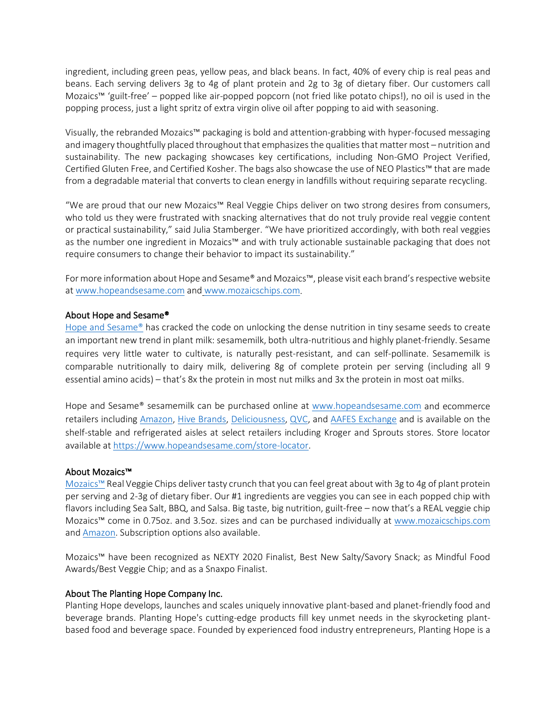ingredient, including green peas, yellow peas, and black beans. In fact, 40% of every chip is real peas and beans. Each serving delivers 3g to 4g of plant protein and 2g to 3g of dietary fiber. Our customers call Mozaics™ 'guilt-free' – popped like air-popped popcorn (not fried like potato chips!), no oil is used in the popping process, just a light spritz of extra virgin olive oil after popping to aid with seasoning.

Visually, the rebranded Mozaics™ packaging is bold and attention-grabbing with hyper-focused messaging and imagery thoughtfully placed throughout that emphasizes the qualities that matter most – nutrition and sustainability. The new packaging showcases key certifications, including Non-GMO Project Verified, Certified Gluten Free, and Certified Kosher. The bags also showcase the use of NEO Plastics™ that are made from a degradable material that converts to clean energy in landfills without requiring separate recycling.

"We are proud that our new Mozaics™ Real Veggie Chips deliver on two strong desires from consumers, who told us they were frustrated with snacking alternatives that do not truly provide real veggie content or practical sustainability," said Julia Stamberger. "We have prioritized accordingly, with both real veggies as the number one ingredient in Mozaics™ and with truly actionable sustainable packaging that does not require consumers to change their behavior to impact its sustainability."

For more information about Hope and Sesame® and Mozaics™, please visit each brand's respective website at [www.hopeandsesame.com](http://www.hopeandsesame.com/) and [www.mozaicschips.com.](https://mozaicschips.com/)

# About Hope and Sesame®

Hope and Sesame<sup>®</sup> has cracked the code on unlocking the dense nutrition in tiny sesame seeds to create an important new trend in plant milk: sesamemilk, both ultra-nutritious and highly planet-friendly. Sesame requires very little water to cultivate, is naturally pest-resistant, and can self-pollinate. Sesamemilk is comparable nutritionally to dairy milk, delivering 8g of complete protein per serving (including all 9 essential amino acids) – that's 8x the protein in most nut milks and 3x the protein in most oat milks.

Hope and Sesame® sesamemilk can be purchased online at [www.hopeandsesame.com](http://www.hopeandsesame.com/) and ecommerce retailers including [Amazon,](https://www.amazon.com/Hope-Sesame-Organic-Chocolate-6-pack/dp/B07HBCNFBX) [Hive Brands,](https://hivebrands.com/collections/hope-sesame) [Deliciousness,](https://deliciousness.com/collections/hope-sesame) [QVC,](https://www.qvc.com/kitchen-&-food/hope-&-sesame/_/N-lglvZ15rtioz/c.html) and [AAFES Exchange](https://www.shopmyexchange.com/) and is available on the shelf-stable and refrigerated aisles at select retailers including Kroger and Sprouts stores. Store locator available a[t https://www.hopeandsesame.com/store-locator.](https://www.hopeandsesame.com/store-locator)

# About Mozaics™

Mozaics™ Real Veggie Chips deliver tasty crunch that you can feel great about with 3g to 4g of plant protein per serving and 2-3g of dietary fiber. Our #1 ingredients are veggies you can see in each popped chip with flavors including Sea Salt, BBQ, and Salsa. Big taste, big nutrition, guilt-free – now that's a REAL veggie chip Mozaics™ come in 0.75oz. and 3.5oz. sizes and can be purchased individually at [www.mozaicschips.com](https://mozaicschips.com/) and [Amazon.](https://www.amazon.com/stores/MozaicsChips/page/A1517AEB-9CA8-4238-8246-83EF22ECEC5D?store_ref=BLP_HW_A5CB0753-C23C-4D33-82B0-4FD7101C984C) Subscription options also available.

Mozaics™ have been recognized as NEXTY 2020 Finalist, Best New Salty/Savory Snack; as Mindful Food Awards/Best Veggie Chip; and as a Snaxpo Finalist.

# About The Planting Hope Company Inc.

Planting Hope develops, launches and scales uniquely innovative plant-based and planet-friendly food and beverage brands. Planting Hope's cutting-edge products fill key unmet needs in the skyrocketing plantbased food and beverage space. Founded by experienced food industry entrepreneurs, Planting Hope is a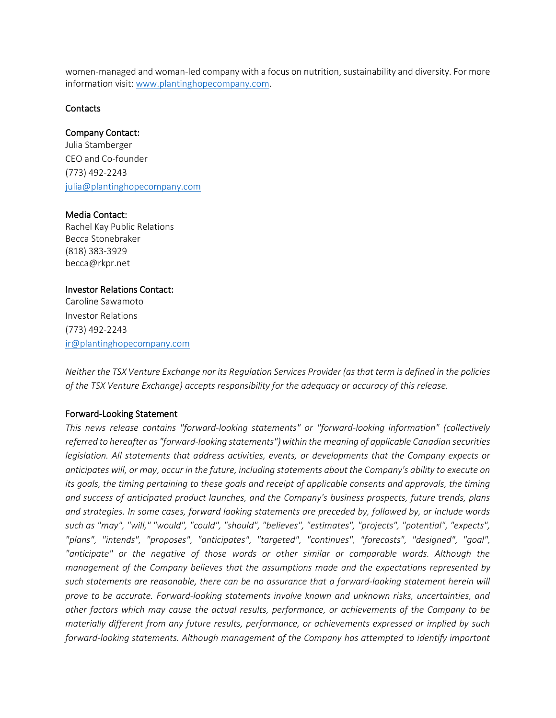women-managed and woman-led company with a focus on nutrition, sustainability and diversity. For more information visit: [www.plantinghopecompany.com.](http://www.plantinghopecompany.com/)

#### **Contacts**

# Company Contact:

Julia Stamberger CEO and Co-founder (773) 492-2243 [julia@plantinghopecompany.com](mailto:julia@plantinghopecompany.com)

# Media Contact:

Rachel Kay Public Relations Becca Stonebraker (818) 383-3929 becca@rkpr.net

# Investor Relations Contact:

Caroline Sawamoto Investor Relations (773) 492-2243 [ir@plantinghopecompany.com](mailto:ir@plantinghopecompany.com)

*Neither the TSX Venture Exchange nor its Regulation Services Provider (as that term is defined in the policies of the TSX Venture Exchange) accepts responsibility for the adequacy or accuracy of this release.*

# Forward-Looking Statement

*This news release contains "forward-looking statements" or "forward-looking information" (collectively referred to hereafter as "forward-looking statements") within the meaning of applicable Canadian securities legislation. All statements that address activities, events, or developments that the Company expects or anticipates will, or may, occur in the future, including statements about the Company's ability to execute on its goals, the timing pertaining to these goals and receipt of applicable consents and approvals, the timing and success of anticipated product launches, and the Company's business prospects, future trends, plans and strategies. In some cases, forward looking statements are preceded by, followed by, or include words such as "may", "will," "would", "could", "should", "believes", "estimates", "projects", "potential", "expects", "plans", "intends", "proposes", "anticipates", "targeted", "continues", "forecasts", "designed", "goal",*  "anticipate" or the negative of those words or other similar or comparable words. Although the *management of the Company believes that the assumptions made and the expectations represented by such statements are reasonable, there can be no assurance that a forward-looking statement herein will prove to be accurate. Forward-looking statements involve known and unknown risks, uncertainties, and other factors which may cause the actual results, performance, or achievements of the Company to be materially different from any future results, performance, or achievements expressed or implied by such forward-looking statements. Although management of the Company has attempted to identify important*